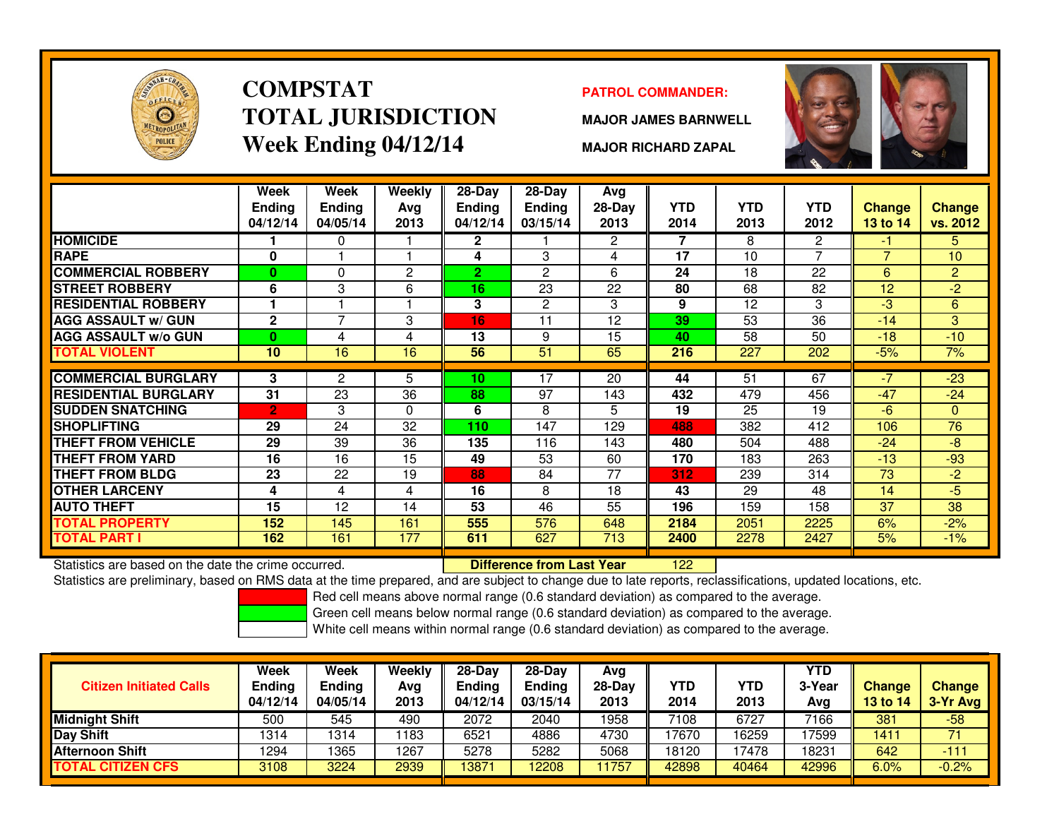

### **COMPSTATTOTAL JURISDICTIONWeek Ending 04/12/14**

### **PATROL COMMANDER:**

**MAJOR JAMES BARNWELL**



**MAJOR RICHARD ZAPAL**

|                             | Week<br><b>Ending</b><br>04/12/14 | Week<br><b>Ending</b><br>04/05/14 | <b>Weekly</b><br>Ava<br>2013 | $28-Day$<br><b>Ending</b><br>04/12/14 | $28$ -Day<br><b>Ending</b><br>03/15/14 | Avg<br>28-Day<br>2013 | <b>YTD</b><br>2014 | <b>YTD</b><br>2013 | <b>YTD</b><br>2012 | <b>Change</b><br><b>13 to 14</b> | <b>Change</b><br>vs. 2012 |
|-----------------------------|-----------------------------------|-----------------------------------|------------------------------|---------------------------------------|----------------------------------------|-----------------------|--------------------|--------------------|--------------------|----------------------------------|---------------------------|
| <b>HOMICIDE</b>             |                                   | $\Omega$                          |                              | $\mathbf{2}$                          |                                        | $\mathbf{2}^{\circ}$  | 7                  | 8                  | 2                  | -1                               | 5.                        |
| <b>RAPE</b>                 | $\bf{0}$                          |                                   |                              | 4                                     | 3                                      | 4                     | 17                 | 10                 | $\overline{7}$     | $\overline{7}$                   | 10                        |
| <b>COMMERCIAL ROBBERY</b>   | 0                                 | $\Omega$                          | $\overline{2}$               | $\mathbf{2}$                          | $\overline{c}$                         | 6                     | 24                 | 18                 | 22                 | 6                                | $\overline{2}$            |
| <b>STREET ROBBERY</b>       | 6                                 | 3                                 | 6                            | 16                                    | 23                                     | 22                    | 80                 | 68                 | 82                 | 12                               | $-2$                      |
| <b>RESIDENTIAL ROBBERY</b>  |                                   |                                   |                              | 3                                     | 2                                      | 3                     | 9                  | 12                 | 3                  | -3                               | 6                         |
| <b>AGG ASSAULT w/ GUN</b>   | $\mathbf{2}$                      | $\overline{7}$                    | 3                            | 16                                    | 11                                     | 12                    | 39                 | 53                 | 36                 | $-14$                            | 3                         |
| <b>AGG ASSAULT w/o GUN</b>  | $\bf{0}$                          | 4                                 | 4                            | 13                                    | 9                                      | 15                    | 40                 | 58                 | 50                 | $-18$                            | $-10$                     |
| TOTAL VIOLENT               | 10                                | 16                                | 16                           | 56                                    | 51                                     | 65                    | 216                | 227                | 202                | $-5%$                            | 7%                        |
|                             |                                   |                                   |                              |                                       |                                        |                       |                    |                    |                    |                                  |                           |
| <b>COMMERCIAL BURGLARY</b>  | 3                                 | 2                                 | 5                            | 10                                    | 17                                     | 20                    | 44                 | 51                 | 67                 | $-7$                             | $-23$                     |
| <b>RESIDENTIAL BURGLARY</b> | 31                                | 23                                | 36                           | 88                                    | 97                                     | 143                   | 432                | 479                | 456                | $-47$                            | $-24$                     |
| <b>SUDDEN SNATCHING</b>     | $\overline{2}$                    | 3                                 | 0                            | 6                                     | 8                                      | 5                     | 19                 | 25                 | 19                 | $-6$                             | $\mathbf{0}$              |
| <b>SHOPLIFTING</b>          | 29                                | 24                                | 32                           | 110                                   | 147                                    | 129                   | 488                | 382                | 412                | 106                              | 76                        |
| <b>THEFT FROM VEHICLE</b>   | 29                                | 39                                | 36                           | 135                                   | 116                                    | 143                   | 480                | 504                | 488                | $-24$                            | $-8$                      |
| <b>THEFT FROM YARD</b>      | 16                                | 16                                | 15                           | 49                                    | 53                                     | 60                    | 170                | 183                | 263                | $-13$                            | $-93$                     |
| <b>THEFT FROM BLDG</b>      | 23                                | 22                                | 19                           | 88                                    | 84                                     | 77                    | 312                | 239                | 314                | 73                               | $-2$                      |
| <b>OTHER LARCENY</b>        | 4                                 | 4                                 | 4                            | 16                                    | 8                                      | 18                    | 43                 | 29                 | 48                 | 14                               | $-5$                      |
| <b>AUTO THEFT</b>           | 15                                | 12                                | 14                           | 53                                    | 46                                     | 55                    | 196                | 159                | 158                | 37                               | 38                        |
| <b>TOTAL PROPERTY</b>       | 152                               | 145                               | 161                          | 555                                   | 576                                    | 648                   | 2184               | 2051               | 2225               | 6%                               | $-2%$                     |
| TOTAL PART I                | 162                               | 161                               | 177                          | 611                                   | 627                                    | 713                   | 2400               | 2278               | 2427               | 5%                               | $-1%$                     |

Statistics are based on the date the crime occurred. **Difference from Last Year** 

<sup>122</sup>

Statistics are preliminary, based on RMS data at the time prepared, and are subject to change due to late reports, reclassifications, updated locations, etc.

Red cell means above normal range (0.6 standard deviation) as compared to the average.

Green cell means below normal range (0.6 standard deviation) as compared to the average.

| <b>Citizen Initiated Calls</b> | Week<br>Ending<br>04/12/14 | <b>Week</b><br><b>Ending</b><br>04/05/14 | Weekly<br>Avg<br>2013 | 28-Day<br><b>Ending</b><br>04/12/14 | $28-Day$<br><b>Ending</b><br>03/15/14 | Avg<br>28-Dav<br>2013 | YTD<br>2014 | YTD<br>2013 | YTD<br>3-Year<br>Avg | <b>Change</b><br>13 to 14 | <b>Change</b><br>3-Yr Avg |
|--------------------------------|----------------------------|------------------------------------------|-----------------------|-------------------------------------|---------------------------------------|-----------------------|-------------|-------------|----------------------|---------------------------|---------------------------|
| <b>Midnight Shift</b>          | 500                        | 545                                      | 490                   | 2072                                | 2040                                  | 1958                  | 7108        | 6727        | 7166                 | 381                       | $-58$                     |
| Day Shift                      | 1314                       | 1314                                     | 1183                  | 6521                                | 4886                                  | 4730                  | 17670       | 16259       | 17599                | 1411                      | 71                        |
| <b>Afternoon Shift</b>         | 1294                       | 1365                                     | 1267                  | 5278                                | 5282                                  | 5068                  | 18120       | 7478        | 18231                | 642                       | $-111$                    |
| <b>TOTAL CITIZEN CFS</b>       | 3108                       | 3224                                     | 2939                  | 13871                               | 12208                                 | 1757                  | 42898       | 40464       | 42996                | 6.0%                      | $-0.2%$                   |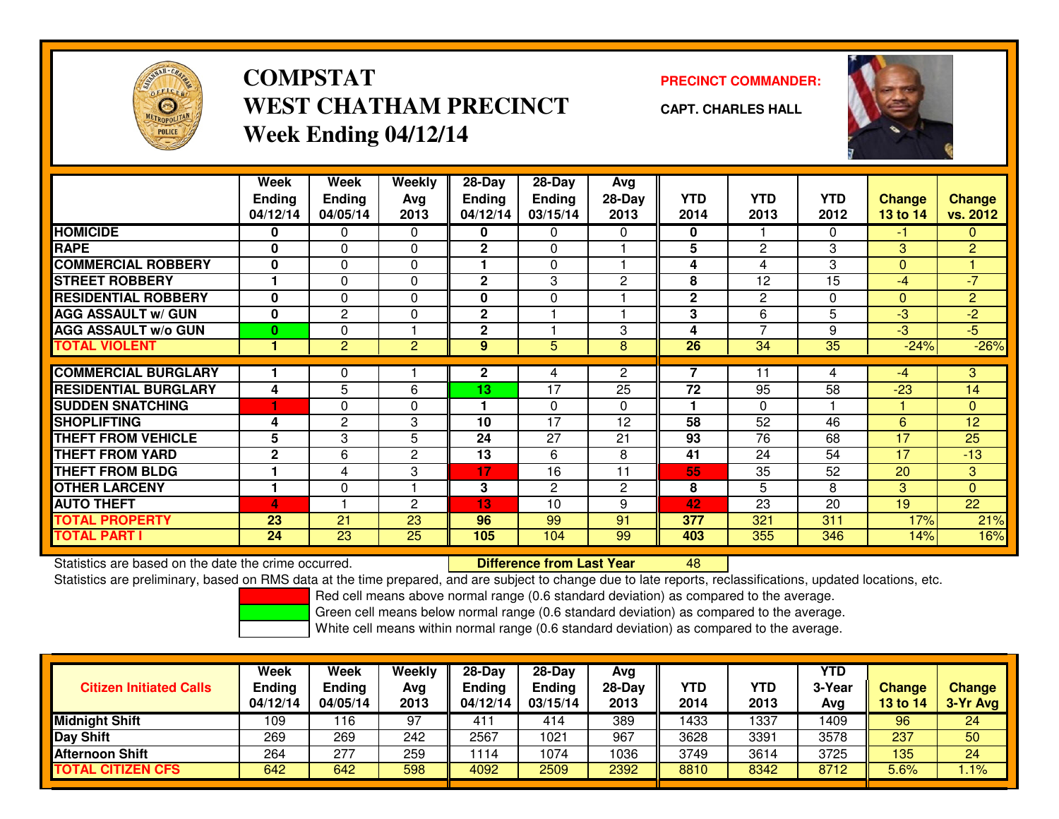

# **COMPSTATWEST CHATHAM PRECINCTWeek Ending 04/12/14**

### **PRECINCT COMMANDER:**

**CAPT. CHARLES HALL**



|                             | Week<br><b>Ending</b><br>04/12/14 | Week<br><b>Ending</b><br>04/05/14 | Weekly<br>Avg<br>2013 | 28-Day<br><b>Ending</b><br>04/12/14 | $28$ -Day<br><b>Ending</b><br>03/15/14 | Avg<br>28-Day<br>2013 | <b>YTD</b><br>2014 | <b>YTD</b><br>2013 | <b>YTD</b><br>2012 | <b>Change</b><br>13 to 14 | <b>Change</b><br>vs. 2012 |
|-----------------------------|-----------------------------------|-----------------------------------|-----------------------|-------------------------------------|----------------------------------------|-----------------------|--------------------|--------------------|--------------------|---------------------------|---------------------------|
| <b>HOMICIDE</b>             | 0                                 | 0                                 | 0                     | 0                                   | 0                                      | $\Omega$              | 0                  |                    | 0                  | -1                        | $\mathbf{0}$              |
| <b>RAPE</b>                 | 0                                 | 0                                 | 0                     | $\mathbf{2}$                        | 0                                      |                       | $5\phantom{.0}$    | 2                  | 3                  | 3                         | $\overline{2}$            |
| <b>COMMERCIAL ROBBERY</b>   | $\bf{0}$                          | 0                                 | 0                     |                                     | 0                                      |                       | 4                  | 4                  | 3                  | $\Omega$                  |                           |
| <b>STREET ROBBERY</b>       |                                   | 0                                 | 0                     | $\mathbf{2}$                        | 3                                      | $\overline{c}$        | 8                  | 12                 | 15                 | $-4$                      | $-7$                      |
| <b>RESIDENTIAL ROBBERY</b>  | $\bf{0}$                          | $\Omega$                          | $\Omega$              | $\mathbf{0}$                        | $\Omega$                               |                       | $\mathbf{2}$       | 2                  | $\Omega$           | $\Omega$                  | $\overline{2}$            |
| <b>AGG ASSAULT W/ GUN</b>   | $\bf{0}$                          | 2                                 | $\Omega$              | $\mathbf{2}$                        |                                        |                       | 3                  | 6                  | 5                  | $-3$                      | $-2$                      |
| <b>AGG ASSAULT w/o GUN</b>  | $\bf{0}$                          | 0                                 |                       | $\mathbf{2}$                        |                                        | 3                     | 4                  | $\overline{z}$     | 9                  | $-3$                      | $-5$                      |
| <b>TOTAL VIOLENT</b>        | 1                                 | $\overline{c}$                    | $\overline{2}$        | 9                                   | 5                                      | 8                     | 26                 | $\overline{34}$    | $\overline{35}$    | $-24%$                    | $-26%$                    |
|                             |                                   |                                   |                       |                                     |                                        |                       | 7                  |                    |                    |                           |                           |
| <b>COMMERCIAL BURGLARY</b>  |                                   | 0                                 |                       | $\mathbf{2}$                        | 4                                      | $\overline{2}$        |                    | 11                 | 4                  | $-4$                      | 3                         |
| <b>RESIDENTIAL BURGLARY</b> | 4                                 | 5                                 | 6                     | 13                                  | $\overline{17}$                        | 25                    | 72                 | 95                 | 58                 | $-23$                     | 14                        |
| <b>SUDDEN SNATCHING</b>     |                                   | $\Omega$                          | $\Omega$              |                                     | $\Omega$                               | $\Omega$              |                    | $\Omega$           |                    |                           | $\Omega$                  |
| <b>SHOPLIFTING</b>          | 4                                 | 2                                 | 3                     | 10                                  | 17                                     | 12                    | 58                 | 52                 | 46                 | 6                         | 12                        |
| <b>THEFT FROM VEHICLE</b>   | 5                                 | 3                                 | 5                     | 24                                  | 27                                     | 21                    | 93                 | 76                 | 68                 | 17                        | 25                        |
| <b>THEFT FROM YARD</b>      | $\mathbf{2}$                      | 6                                 | $\overline{c}$        | 13                                  | 6                                      | 8                     | 41                 | 24                 | 54                 | 17                        | $-13$                     |
| <b>THEFT FROM BLDG</b>      |                                   | 4                                 | 3                     | 17                                  | 16                                     | 11                    | 55                 | 35                 | 52                 | 20                        | 3                         |
| <b>OTHER LARCENY</b>        |                                   | $\Omega$                          |                       | 3                                   | $\mathbf{2}$                           | $\overline{2}$        | 8                  | 5                  | 8                  | 3                         | $\Omega$                  |
| <b>AUTO THEFT</b>           | $\Delta$                          |                                   | $\mathbf{2}$          | 13                                  | 10                                     | 9                     | 42                 | 23                 | 20                 | 19                        | 22                        |
| <b>TOTAL PROPERTY</b>       | 23                                | 21                                | 23                    | 96                                  | 99                                     | 91                    | 377                | 321                | 311                | 17%                       | 21%                       |
| <b>TOTAL PART I</b>         | 24                                | 23                                | 25                    | 105                                 | 104                                    | 99                    | 403                | 355                | 346                | 14%                       | 16%                       |

Statistics are based on the date the crime occurred. **Difference from Last Year** 

Statistics are based on the date the crime occurred.<br>Statistics are preliminary, based on RMS data at the time prepared, and are subject to change due to late reports, reclassifications, updated locations, etc.

Red cell means above normal range (0.6 standard deviation) as compared to the average.

Green cell means below normal range (0.6 standard deviation) as compared to the average.

| <b>Citizen Initiated Calls</b> | Week<br><b>Ending</b><br>04/12/14 | Week<br><b>Ending</b><br>04/05/14 | Weekly<br>Avg<br>2013 | $28-Day$<br><b>Ending</b><br>04/12/14 | $28-Day$<br><b>Ending</b><br>03/15/14 | Avg<br>28-Day<br>2013 | YTD<br>2014 | YTD<br>2013 | <b>YTD</b><br>3-Year<br>Avg | <b>Change</b><br>13 to 14 | <b>Change</b><br>3-Yr Avg |
|--------------------------------|-----------------------------------|-----------------------------------|-----------------------|---------------------------------------|---------------------------------------|-----------------------|-------------|-------------|-----------------------------|---------------------------|---------------------------|
| <b>Midnight Shift</b>          | 109                               | 16                                | 97                    | 411                                   | 414                                   | 389                   | 1433        | 1337        | 1409                        | 96                        | 24                        |
| <b>Day Shift</b>               | 269                               | 269                               | 242                   | 2567                                  | 1021                                  | 967                   | 3628        | 3391        | 3578                        | 237                       | 50                        |
| <b>Afternoon Shift</b>         | 264                               | 277                               | 259                   | 1114                                  | 1074                                  | 1036                  | 3749        | 3614        | 3725                        | 135                       | 24                        |
| <b>TOTAL CITIZEN CFS</b>       | 642                               | 642                               | 598                   | 4092                                  | 2509                                  | 2392                  | 8810        | 8342        | 8712                        | 5.6%                      | $1.1\%$                   |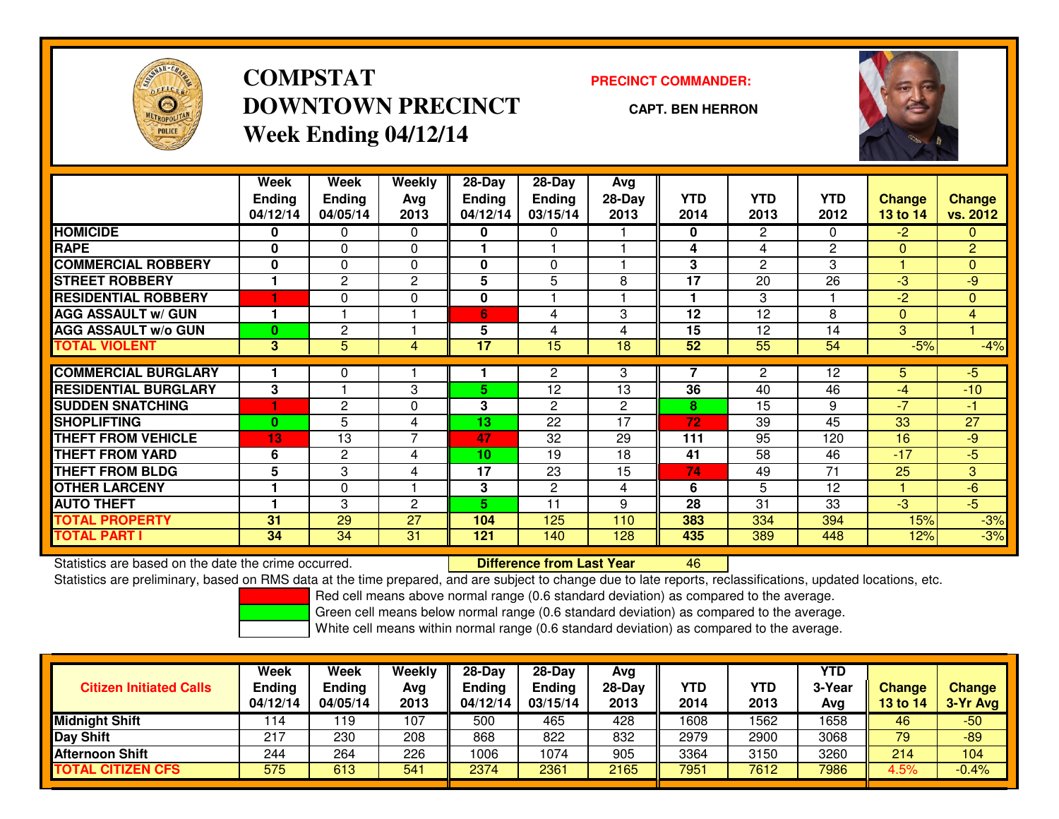

# **COMPSTATDOWNTOWN PRECINCTWeek Ending 04/12/14**

#### **PRECINCT COMMANDER:**

**CAPT. BEN HERRON**



|                             | Week           | Week          | Weekly         | $28-Day$      | 28-Day         | Avg            |            |                |              |               |                |
|-----------------------------|----------------|---------------|----------------|---------------|----------------|----------------|------------|----------------|--------------|---------------|----------------|
|                             | <b>Ending</b>  | <b>Ending</b> | Avg            | <b>Ending</b> | <b>Ending</b>  | 28-Day         | <b>YTD</b> | <b>YTD</b>     | <b>YTD</b>   | <b>Change</b> | <b>Change</b>  |
|                             | 04/12/14       | 04/05/14      | 2013           | 04/12/14      | 03/15/14       | 2013           | 2014       | 2013           | 2012         | 13 to 14      | vs. 2012       |
| <b>HOMICIDE</b>             | 0              | 0             | 0              | 0             | 0              |                | 0          | $\overline{2}$ | 0            | $-2$          | $\Omega$       |
| <b>RAPE</b>                 | $\bf{0}$       | $\Omega$      | 0              |               |                |                | 4          | 4              | $\mathbf{2}$ | $\Omega$      | $\overline{2}$ |
| <b>COMMERCIAL ROBBERY</b>   | $\mathbf{0}$   | 0             | 0              | $\mathbf{0}$  | $\Omega$       |                | 3          | 2              | 3            | ۴             | $\mathbf{0}$   |
| <b>STREET ROBBERY</b>       |                | $\mathbf{2}$  | 2              | 5             | 5              | 8              | 17         | 20             | 26           | $-3$          | -9             |
| <b>RESIDENTIAL ROBBERY</b>  |                | 0             | 0              | 0             |                |                | ٠          | 3              |              | $-2$          | $\mathbf{0}$   |
| <b>AGG ASSAULT w/ GUN</b>   |                |               |                | 6             | 4              | 3              | 12         | 12             | 8            | $\Omega$      | $\overline{4}$ |
| <b>AGG ASSAULT w/o GUN</b>  | 0              | 2             | н              | 5             | 4              | 4              | 15         | 12             | 14           | 3             |                |
| <b>TOTAL VIOLENT</b>        | 3 <sup>1</sup> | 5             | 4              | 17            | 15             | 18             | 52         | 55             | 54           | $-5%$         | $-4%$          |
|                             |                |               |                |               |                |                |            |                |              |               |                |
| <b>COMMERCIAL BURGLARY</b>  |                | 0             |                |               | 2              | 3              | 7          | $\overline{2}$ | 12           | 5             | $-5$           |
| <b>RESIDENTIAL BURGLARY</b> | 3              |               | 3              | 5.            | 12             | 13             | 36         | 40             | 46           | $-4$          | $-10$          |
| <b>ISUDDEN SNATCHING</b>    |                | $\mathbf{2}$  | $\Omega$       | 3             | $\mathbf{2}$   | $\overline{2}$ | 8          | 15             | 9            | $-7$          | $-1$           |
| <b>SHOPLIFTING</b>          | $\bf{0}$       | 5             | 4              | 13            | 22             | 17             | 72         | 39             | 45           | 33            | 27             |
| <b>THEFT FROM VEHICLE</b>   | 13             | 13            | $\overline{7}$ | 47            | 32             | 29             | 111        | 95             | 120          | 16            | -9             |
| <b>THEFT FROM YARD</b>      | 6              | $\mathbf{2}$  | 4              | 10            | 19             | 18             | 41         | 58             | 46           | $-17$         | $-5$           |
| <b>THEFT FROM BLDG</b>      | 5              | 3             | 4              | 17            | 23             | 15             | 74         | 49             | 71           | 25            | 3              |
| <b>OTHER LARCENY</b>        |                | 0             |                | 3             | $\overline{c}$ | 4              | 6          | 5              | 12           |               | $-6$           |
| <b>AUTO THEFT</b>           |                | 3             | $\mathbf{2}$   | 5.            | 11             | 9              | 28         | 31             | 33           | $-3$          | $-5$           |
| <b>TOTAL PROPERTY</b>       | 31             | 29            | 27             | 104           | 125            | 110            | 383        | 334            | 394          | 15%           | $-3%$          |
| <b>TOTAL PART I</b>         | 34             | 34            | 31             | 121           | 140            | 128            | 435        | 389            | 448          | 12%           | $-3%$          |

Statistics are based on the date the crime occurred. **Difference from Last Year** 

Statistics are based on the date the crime occurred.<br>Statistics are preliminary, based on RMS data at the time prepared, and are subject to change due to late reports, reclassifications, updated locations, etc.

Red cell means above normal range (0.6 standard deviation) as compared to the average.

Green cell means below normal range (0.6 standard deviation) as compared to the average.

| <b>Citizen Initiated Calls</b> | Week<br><b>Ending</b><br>04/12/14 | Week<br><b>Ending</b><br>04/05/14 | Weekly<br>Avg<br>2013 | $28-Day$<br><b>Ending</b><br>04/12/14 | $28-Day$<br><b>Ending</b><br>03/15/14 | Avg<br>28-Day<br>2013 | YTD<br>2014 | YTD<br>2013 | <b>YTD</b><br>3-Year<br>Avg | <b>Change</b><br>13 to 14 | <b>Change</b><br>3-Yr Avg |
|--------------------------------|-----------------------------------|-----------------------------------|-----------------------|---------------------------------------|---------------------------------------|-----------------------|-------------|-------------|-----------------------------|---------------------------|---------------------------|
| <b>Midnight Shift</b>          | 114                               | ∣19                               | 107                   | 500                                   | 465                                   | 428                   | 1608        | 562         | 1658                        | 46                        | $-50$                     |
| <b>Day Shift</b>               | 217                               | 230                               | 208                   | 868                                   | 822                                   | 832                   | 2979        | 2900        | 3068                        | 79                        | $-89$                     |
| <b>Afternoon Shift</b>         | 244                               | 264                               | 226                   | 1006                                  | 1074                                  | 905                   | 3364        | 3150        | 3260                        | 214                       | 104                       |
| <b>TOTAL CITIZEN CFS</b>       | 575                               | 613                               | 541                   | 2374                                  | 2361                                  | 2165                  | 7951        | 7612        | 7986                        | 4.5%                      | $-0.4%$                   |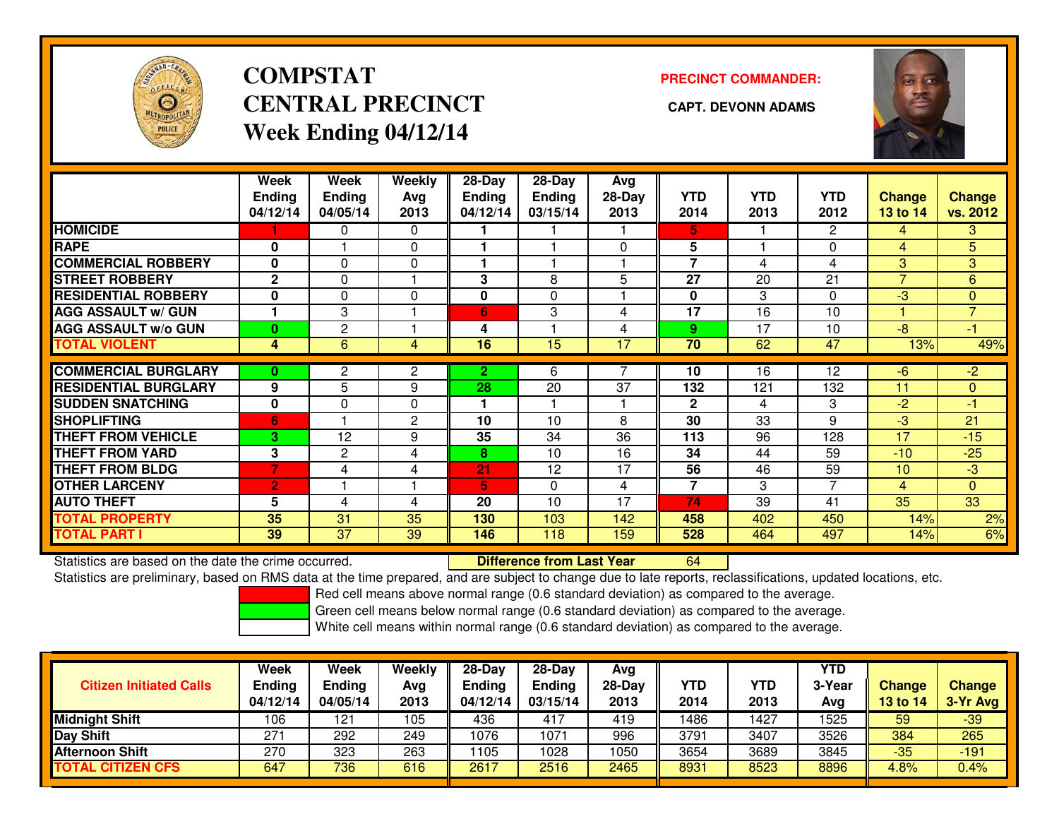

# **COMPSTATCENTRAL PRECINCT** CAPT. DEVONN ADAMS **Week Ending 04/12/14**

### **PRECINCT COMMANDER:**



|                             | Week<br><b>Ending</b><br>04/12/14 | Week<br><b>Ending</b><br>04/05/14 | Weekly<br>Avg<br>2013 | 28-Day<br><b>Ending</b><br>04/12/14 | 28-Day<br><b>Ending</b><br>03/15/14 | Avg<br>28-Day<br>2013 | <b>YTD</b><br>2014 | <b>YTD</b><br>2013 | <b>YTD</b><br>2012    | <b>Change</b><br>13 to 14 | <b>Change</b><br>vs. 2012 |
|-----------------------------|-----------------------------------|-----------------------------------|-----------------------|-------------------------------------|-------------------------------------|-----------------------|--------------------|--------------------|-----------------------|---------------------------|---------------------------|
| <b>HOMICIDE</b>             |                                   | 0                                 | 0                     |                                     |                                     |                       | 5.                 |                    | $\mathbf{2}^{\prime}$ | 4                         | 3                         |
| <b>RAPE</b>                 | 0                                 |                                   | 0                     |                                     |                                     | $\Omega$              | 5                  |                    | $\Omega$              | 4                         | 5                         |
| <b>COMMERCIAL ROBBERY</b>   | $\bf{0}$                          | $\Omega$                          | 0                     |                                     |                                     |                       | $\overline{7}$     | 4                  | 4                     | 3                         | 3                         |
| <b>STREET ROBBERY</b>       | $\mathbf{2}$                      | 0                                 |                       | 3                                   | 8                                   | 5                     | 27                 | 20                 | 21                    | $\overline{7}$            | 6                         |
| <b>RESIDENTIAL ROBBERY</b>  | 0                                 | $\Omega$                          | 0                     | $\bf{0}$                            | $\Omega$                            |                       | $\mathbf{0}$       | 3                  | $\Omega$              | $-3$                      | $\Omega$                  |
| <b>AGG ASSAULT w/ GUN</b>   |                                   | 3                                 |                       | 6                                   | 3                                   | 4                     | 17                 | 16                 | 10                    |                           | $\overline{7}$            |
| <b>AGG ASSAULT w/o GUN</b>  | 0                                 | $\mathbf{2}$                      |                       | 4                                   |                                     | 4                     | 9                  | 17                 | 10                    | $-8$                      | $-1$                      |
| <b>TOTAL VIOLENT</b>        | 4                                 | 6                                 | 4                     | 16                                  | 15                                  | 17                    | 70                 | 62                 | 47                    | 13%                       | 49%                       |
|                             |                                   |                                   |                       |                                     |                                     |                       |                    |                    |                       |                           |                           |
| <b>COMMERCIAL BURGLARY</b>  | 0                                 | 2                                 | 2                     | 2.                                  | 6                                   |                       | 10                 | 16                 | 12                    | -6                        | $-2$                      |
| <b>RESIDENTIAL BURGLARY</b> | 9                                 | 5                                 | 9                     | 28                                  | 20                                  | 37                    | 132                | 121                | 132                   | 11                        | $\mathbf{0}$              |
| <b>ISUDDEN SNATCHING</b>    | 0                                 | 0                                 | 0                     |                                     |                                     |                       | $\mathbf{2}$       | 4                  | 3                     | $-2$                      | $-1$                      |
| <b>SHOPLIFTING</b>          | 6                                 |                                   | $\overline{c}$        | 10                                  | 10                                  | 8                     | 30                 | 33                 | 9                     | -3                        | 21                        |
| <b>THEFT FROM VEHICLE</b>   | 3                                 | 12                                | 9                     | 35                                  | 34                                  | 36                    | 113                | 96                 | 128                   | 17                        | $-15$                     |
| <b>THEFT FROM YARD</b>      | 3                                 | 2                                 | 4                     | 8                                   | 10                                  | 16                    | 34                 | 44                 | 59                    | $-10$                     | $-25$                     |
| <b>THEFT FROM BLDG</b>      | 7                                 | 4                                 | 4                     | 21                                  | 12                                  | 17                    | 56                 | 46                 | 59                    | 10                        | $-3$                      |
| <b>OTHER LARCENY</b>        | $\overline{2}$                    |                                   | ۴                     | 5                                   | $\Omega$                            | 4                     | $\overline{7}$     | 3                  | $\overline{7}$        | 4                         | $\overline{0}$            |
| <b>AUTO THEFT</b>           | 5                                 | 4                                 | 4                     | 20                                  | 10                                  | 17                    | 74                 | 39                 | 41                    | 35                        | 33                        |
| <b>TOTAL PROPERTY</b>       | 35                                | 31                                | 35                    | 130                                 | 103                                 | 142                   | 458                | 402                | 450                   | 14%                       | 2%                        |
| <b>TOTAL PART I</b>         | 39                                | $\overline{37}$                   | 39                    | 146                                 | 118                                 | 159                   | 528                | 464                | 497                   | 14%                       | 6%                        |

Statistics are based on the date the crime occurred. **Difference from Last Year** 

Statistics are preliminary, based on RMS data at the time prepared, and are subject to change due to late reports, reclassifications, updated locations, etc.

Red cell means above normal range (0.6 standard deviation) as compared to the average.

Green cell means below normal range (0.6 standard deviation) as compared to the average.

<sup>64</sup>

| <b>Citizen Initiated Calls</b> | Week<br>Ending<br>04/12/14 | Week<br>Ending<br>04/05/14 | <b>Weekly</b><br>Avg<br>2013 | $28-Day$<br><b>Ending</b><br>04/12/14 | $28 - Day$<br><b>Ending</b><br>03/15/14 | Avg<br>28-Day<br>2013 | YTD<br>2014 | YTD<br>2013 | <b>YTD</b><br>3-Year<br>Avg | Change<br>13 to 14 | <b>Change</b><br>3-Yr Avg |
|--------------------------------|----------------------------|----------------------------|------------------------------|---------------------------------------|-----------------------------------------|-----------------------|-------------|-------------|-----------------------------|--------------------|---------------------------|
| Midnight Shift                 | 106                        | 121                        | 105                          | 436                                   | 417                                     | 419                   | 1486        | 1427        | 1525                        | 59                 | $-39$                     |
| Day Shift                      | 271                        | 292                        | 249                          | 1076                                  | 1071                                    | 996                   | 3791        | 3407        | 3526                        | 384                | 265                       |
| <b>Afternoon Shift</b>         | 270                        | 323                        | 263                          | 105                                   | 1028                                    | 1050                  | 3654        | 3689        | 3845                        | $-35$              | $-191$                    |
| <b>TOTAL CITIZEN CFS</b>       | 647                        | 736                        | 616                          | 2617                                  | 2516                                    | 2465                  | 8931        | 8523        | 8896                        | 4.8%               | 0.4%                      |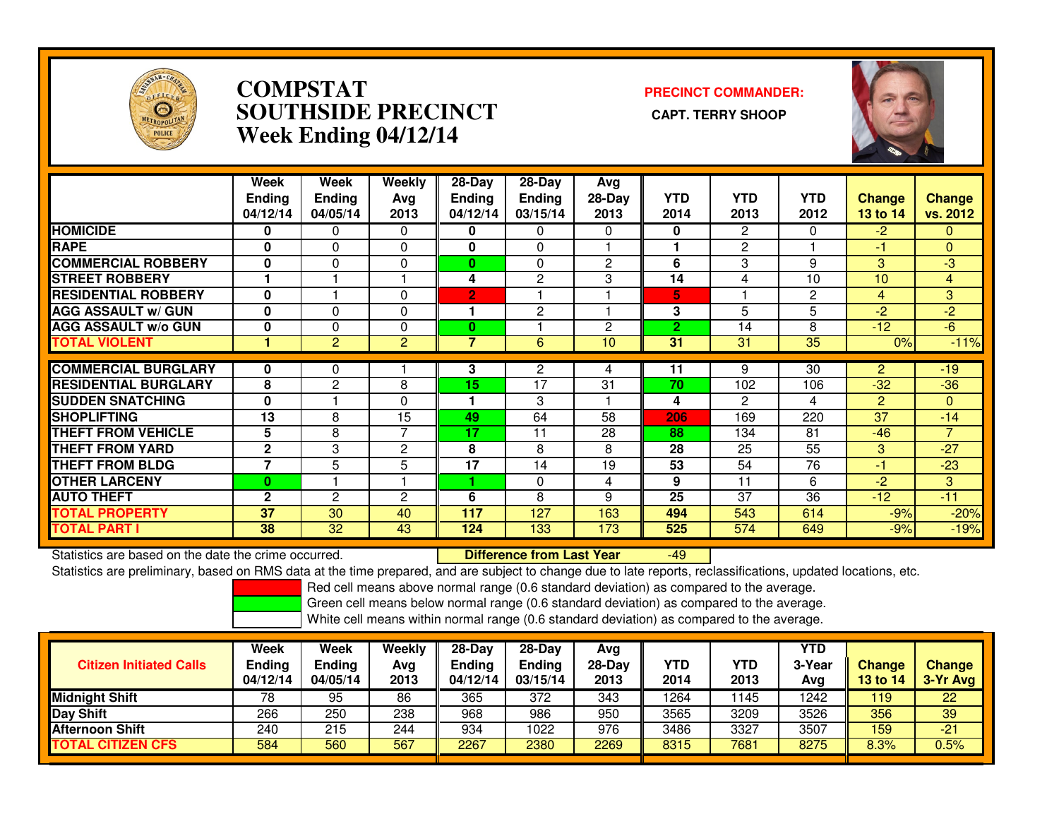

### **COMPSTAT PRECINCT COMMANDER: SOUTHSIDE PRECINCT CAPT. TERRY SHOOPWeek Ending 04/12/14**



|                             | Week<br><b>Ending</b><br>04/12/14 | Week<br><b>Ending</b><br>04/05/14 | Weekly<br>Avg<br>2013 | $28-Day$<br>Ending<br>04/12/14 | $28-Day$<br><b>Ending</b><br>03/15/14 | Avg<br>$28-Day$<br>2013 | <b>YTD</b><br>2014 | <b>YTD</b><br>2013 | <b>YTD</b><br>2012 | <b>Change</b><br>13 to 14 | <b>Change</b><br>vs. 2012 |
|-----------------------------|-----------------------------------|-----------------------------------|-----------------------|--------------------------------|---------------------------------------|-------------------------|--------------------|--------------------|--------------------|---------------------------|---------------------------|
| <b>HOMICIDE</b>             | 0                                 | 0                                 | $\Omega$              | 0                              | 0                                     | $\Omega$                | 0                  | $\overline{2}$     | 0                  | $-2$                      | $\mathbf{0}$              |
| <b>RAPE</b>                 | 0                                 | $\Omega$                          | 0                     | 0                              | $\Omega$                              |                         |                    | 2                  |                    | -1                        | $\mathbf{0}$              |
| <b>COMMERCIAL ROBBERY</b>   | $\bf{0}$                          | $\Omega$                          | 0                     | $\mathbf{0}$                   | $\Omega$                              | $\overline{2}$          | 6                  | 3                  | 9                  | 3                         | -3                        |
| <b>STREET ROBBERY</b>       |                                   |                                   |                       | 4                              | $\mathbf{2}$                          | 3                       | 14                 | 4                  | 10                 | 10                        | $\overline{4}$            |
| <b>RESIDENTIAL ROBBERY</b>  | $\bf{0}$                          |                                   | 0                     | $\overline{2}$                 |                                       |                         | 5                  |                    | $\overline{c}$     | 4                         | 3                         |
| <b>AGG ASSAULT w/ GUN</b>   | $\bf{0}$                          | $\Omega$                          | 0                     |                                | 2                                     |                         | 3                  | 5                  | 5                  | $-2$                      | $-2$                      |
| <b>AGG ASSAULT w/o GUN</b>  | 0                                 | $\Omega$                          | 0                     | 0                              |                                       | $\overline{2}$          | $\overline{2}$     | 14                 | 8                  | $-12$                     | $-6$                      |
| <b>TOTAL VIOLENT</b>        |                                   | $\overline{2}$                    | $\overline{2}$        | 7                              | 6                                     | 10                      | $\overline{31}$    | 31                 | 35                 | 0%                        | $-11%$                    |
|                             |                                   |                                   |                       |                                |                                       |                         |                    |                    |                    |                           |                           |
| <b>COMMERCIAL BURGLARY</b>  | 0                                 | 0                                 |                       | 3                              | 2                                     | 4                       | 11                 | 9                  | 30                 | 2                         | $-19$                     |
| <b>RESIDENTIAL BURGLARY</b> | 8                                 | $\overline{c}$                    | 8                     | 15                             | 17                                    | 31                      | 70                 | 102                | 106                | $-32$                     | $-36$                     |
| <b>SUDDEN SNATCHING</b>     | $\bf{0}$                          |                                   | $\Omega$              |                                | 3                                     |                         | 4                  | $\overline{c}$     | 4                  | 2                         | $\mathbf{0}$              |
| <b>SHOPLIFTING</b>          | 13                                | 8                                 | 15                    | 49                             | 64                                    | 58                      | 206                | 169                | 220                | 37                        | $-14$                     |
| <b>THEFT FROM VEHICLE</b>   | 5                                 | 8                                 | 7                     | 17                             | 11                                    | 28                      | 88                 | 134                | 81                 | $-46$                     | $\overline{7}$            |
| <b>THEFT FROM YARD</b>      | $\mathbf{2}$                      | 3                                 | 2                     | 8                              | 8                                     | 8                       | 28                 | 25                 | 55                 | 3                         | $-27$                     |
| <b>THEFT FROM BLDG</b>      | $\overline{7}$                    | 5                                 | 5                     | 17                             | 14                                    | 19                      | 53                 | 54                 | 76                 | $-1$                      | $-23$                     |
| <b>OTHER LARCENY</b>        | 0                                 |                                   |                       |                                | $\Omega$                              | 4                       | 9                  | 11                 | 6                  | $-2$                      | 3                         |
| <b>AUTO THEFT</b>           | $\mathbf{2}$                      | $\overline{c}$                    | $\overline{2}$        | 6                              | 8                                     | 9                       | 25                 | 37                 | 36                 | $-12$                     | $-11$                     |
| <b>TOTAL PROPERTY</b>       | 37                                | 30                                | 40                    | 117                            | 127                                   | 163                     | 494                | 543                | 614                | $-9%$                     | $-20%$                    |
| <b>TOTAL PART I</b>         | 38                                | 32                                | 43                    | 124                            | 133                                   | 173                     | 525                | 574                | 649                | $-9%$                     | $-19%$                    |

Statistics are based on the date the crime occurred. **Difference from Last Year** Statistics are based on the date the crime occurred. **Externee the Difference from Last Year Theoren 1998** Junct<br>Statistics are preliminary, based on RMS data at the time prepared, and are subject to change due to late rep

Red cell means above normal range (0.6 standard deviation) as compared to the average.

Green cell means below normal range (0.6 standard deviation) as compared to the average.

| <b>Citizen Initiated Calls</b> | Week<br><b>Ending</b><br>04/12/14 | <b>Week</b><br>Ending<br>04/05/14 | Weekly<br>Avg<br>2013 | 28-Dav<br>Ending<br>04/12/14 | $28-Dav$<br><b>Ending</b><br>03/15/14 | Avg<br>$28-Day$<br>2013 | <b>YTD</b><br>2014 | YTD<br>2013 | <b>YTD</b><br>3-Year<br>Avg | <b>Change</b><br>13 to 14 | <b>Change</b><br>3-Yr Avg |
|--------------------------------|-----------------------------------|-----------------------------------|-----------------------|------------------------------|---------------------------------------|-------------------------|--------------------|-------------|-----------------------------|---------------------------|---------------------------|
| <b>Midnight Shift</b>          | 78                                | 95                                | 86                    | 365                          | 372                                   | 343                     | 1264               | 145         | 1242                        | 119                       | 22                        |
| Day Shift                      | 266                               | 250                               | 238                   | 968                          | 986                                   | 950                     | 3565               | 3209        | 3526                        | 356                       | 39                        |
| <b>Afternoon Shift</b>         | 240                               | 215                               | 244                   | 934                          | 1022                                  | 976                     | 3486               | 3327        | 3507                        | 159                       | $-21$                     |
| <b>CITIZEN CFS</b><br>TOTAL    | 584                               | 560                               | 567                   | 2267                         | 2380                                  | 2269                    | 8315               | 7681        | 8275                        | 8.3%                      | 0.5%                      |